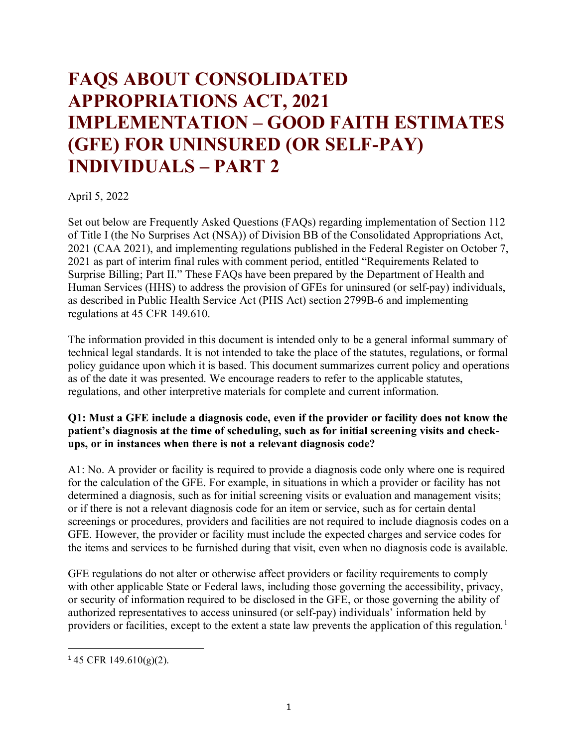# **FAQS ABOUT CONSOLIDATED APPROPRIATIONS ACT, 2021 IMPLEMENTATION – GOOD FAITH ESTIMATES (GFE) FOR UNINSURED (OR SELF-PAY) INDIVIDUALS – PART 2**

April 5, 2022

Set out below are Frequently Asked Questions (FAQs) regarding implementation of Section 112 of Title I (the No Surprises Act (NSA)) of Division BB of the Consolidated Appropriations Act, 2021 (CAA 2021), and implementing regulations published in the Federal Register on October 7, 2021 as part of interim final rules with comment period, entitled "Requirements Related to Surprise Billing; Part II." These FAQs have been prepared by the Department of Health and Human Services (HHS) to address the provision of GFEs for uninsured (or self-pay) individuals, as described in Public Health Service Act (PHS Act) section 2799B-6 and implementing regulations at 45 CFR 149.610.

The information provided in this document is intended only to be a general informal summary of technical legal standards. It is not intended to take the place of the statutes, regulations, or formal policy guidance upon which it is based. This document summarizes current policy and operations as of the date it was presented. We encourage readers to refer to the applicable statutes, regulations, and other interpretive materials for complete and current information.

#### **Q1: Must a GFE include a diagnosis code, even if the provider or facility does not know the patient's diagnosis at the time of scheduling, such as for initial screening visits and checkups, or in instances when there is not a relevant diagnosis code?**

A1: No. A provider or facility is required to provide a diagnosis code only where one is required for the calculation of the GFE. For example, in situations in which a provider or facility has not determined a diagnosis, such as for initial screening visits or evaluation and management visits; or if there is not a relevant diagnosis code for an item or service, such as for certain dental screenings or procedures, providers and facilities are not required to include diagnosis codes on a GFE. However, the provider or facility must include the expected charges and service codes for the items and services to be furnished during that visit, even when no diagnosis code is available.

GFE regulations do not alter or otherwise affect providers or facility requirements to comply with other applicable State or Federal laws, including those governing the accessibility, privacy, or security of information required to be disclosed in the GFE, or those governing the ability of authorized representatives to access uninsured (or self-pay) individuals' information held by providers or facilities, except to the extent a state law prevents the application of this regulation.<sup>[1](#page-0-0)</sup>

 $\overline{\phantom{a}}$ 

<span id="page-0-0"></span> $145$  CFR 149.610(g)(2).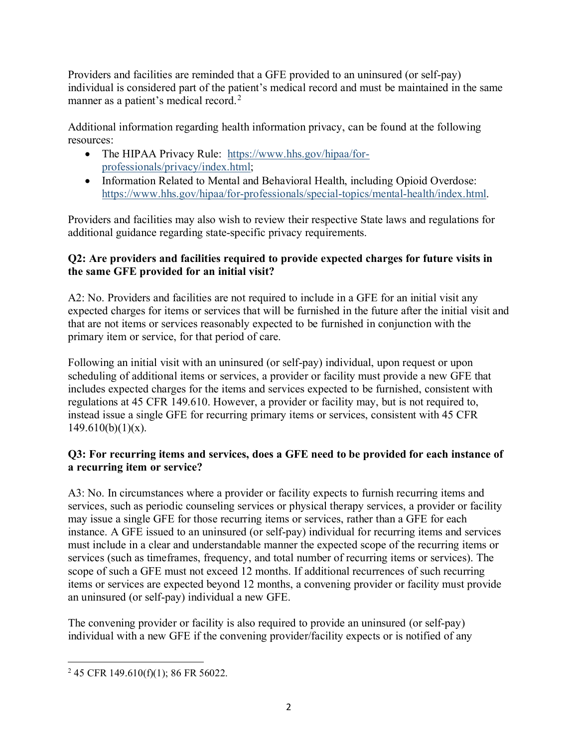Providers and facilities are reminded that a GFE provided to an uninsured (or self-pay) individual is considered part of the patient's medical record and must be maintained in the same manner as a patient's medical record.<sup>[2](#page-1-0)</sup>

Additional information regarding health information privacy, can be found at the following resources:

- The HIPAA Privacy Rule: [https://www.hhs.gov/hipaa/for](https://www.hhs.gov/hipaa/for-professionals/privacy/index.html)[professionals/privacy/index.html;](https://www.hhs.gov/hipaa/for-professionals/privacy/index.html)
- Information Related to Mental and Behavioral Health, including Opioid Overdose: [https://www.hhs.gov/hipaa/for-professionals/special-topics/mental-health/index.html.](https://www.hhs.gov/hipaa/for-professionals/special-topics/mental-health/index.html)

Providers and facilities may also wish to review their respective State laws and regulations for additional guidance regarding state-specific privacy requirements.

## **Q2: Are providers and facilities required to provide expected charges for future visits in the same GFE provided for an initial visit?**

A2: No. Providers and facilities are not required to include in a GFE for an initial visit any expected charges for items or services that will be furnished in the future after the initial visit and that are not items or services reasonably expected to be furnished in conjunction with the primary item or service, for that period of care.

Following an initial visit with an uninsured (or self-pay) individual, upon request or upon scheduling of additional items or services, a provider or facility must provide a new GFE that includes expected charges for the items and services expected to be furnished, consistent with regulations at 45 CFR 149.610. However, a provider or facility may, but is not required to, instead issue a single GFE for recurring primary items or services, consistent with 45 CFR  $149.610(b)(1)(x)$ .

## **Q3: For recurring items and services, does a GFE need to be provided for each instance of a recurring item or service?**

A3: No. In circumstances where a provider or facility expects to furnish recurring items and services, such as periodic counseling services or physical therapy services, a provider or facility may issue a single GFE for those recurring items or services, rather than a GFE for each instance. A GFE issued to an uninsured (or self-pay) individual for recurring items and services must include in a clear and understandable manner the expected scope of the recurring items or services (such as timeframes, frequency, and total number of recurring items or services). The scope of such a GFE must not exceed 12 months. If additional recurrences of such recurring items or services are expected beyond 12 months, a convening provider or facility must provide an uninsured (or self-pay) individual a new GFE.

The convening provider or facility is also required to provide an uninsured (or self-pay) individual with a new GFE if the convening provider/facility expects or is notified of any

 $\overline{\phantom{a}}$ 

<span id="page-1-0"></span> $2$  45 CFR 149.610(f)(1); 86 FR 56022.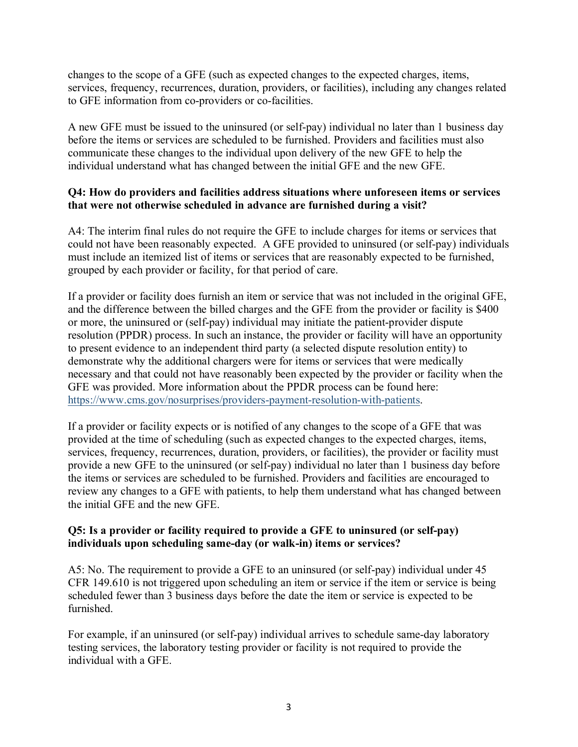changes to the scope of a GFE (such as expected changes to the expected charges, items, services, frequency, recurrences, duration, providers, or facilities), including any changes related to GFE information from co-providers or co-facilities.

A new GFE must be issued to the uninsured (or self-pay) individual no later than 1 business day before the items or services are scheduled to be furnished. Providers and facilities must also communicate these changes to the individual upon delivery of the new GFE to help the individual understand what has changed between the initial GFE and the new GFE.

### **Q4: How do providers and facilities address situations where unforeseen items or services that were not otherwise scheduled in advance are furnished during a visit?**

A4: The interim final rules do not require the GFE to include charges for items or services that could not have been reasonably expected. A GFE provided to uninsured (or self-pay) individuals must include an itemized list of items or services that are reasonably expected to be furnished, grouped by each provider or facility, for that period of care.

If a provider or facility does furnish an item or service that was not included in the original GFE, and the difference between the billed charges and the GFE from the provider or facility is \$400 or more, the uninsured or (self-pay) individual may initiate the patient-provider dispute resolution (PPDR) process. In such an instance, the provider or facility will have an opportunity to present evidence to an independent third party (a selected dispute resolution entity) to demonstrate why the additional chargers were for items or services that were medically necessary and that could not have reasonably been expected by the provider or facility when the GFE was provided. More information about the PPDR process can be found here: [https://www.cms.gov/nosurprises/providers-payment-resolution-with-patients.](https://www.cms.gov/nosurprises/providers-payment-resolution-with-patients)

If a provider or facility expects or is notified of any changes to the scope of a GFE that was provided at the time of scheduling (such as expected changes to the expected charges, items, services, frequency, recurrences, duration, providers, or facilities), the provider or facility must provide a new GFE to the uninsured (or self-pay) individual no later than 1 business day before the items or services are scheduled to be furnished. Providers and facilities are encouraged to review any changes to a GFE with patients, to help them understand what has changed between the initial GFE and the new GFE.

#### **Q5: Is a provider or facility required to provide a GFE to uninsured (or self-pay) individuals upon scheduling same-day (or walk-in) items or services?**

A5: No. The requirement to provide a GFE to an uninsured (or self-pay) individual under 45 CFR 149.610 is not triggered upon scheduling an item or service if the item or service is being scheduled fewer than 3 business days before the date the item or service is expected to be furnished.

For example, if an uninsured (or self-pay) individual arrives to schedule same-day laboratory testing services, the laboratory testing provider or facility is not required to provide the individual with a GFE.